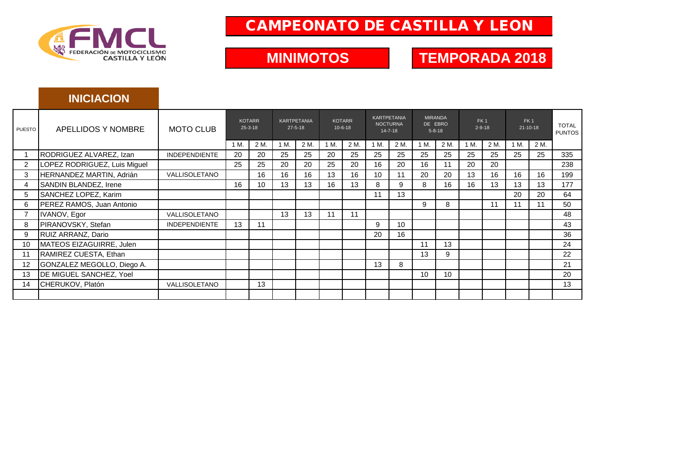

### CAMPEONATO DE CASTILLA Y LEON

**MINIMOTOS**

## **TEMPORADA 2018**

#### **INICIACION** 1 M. | 2 M. | 1 M. | 2 M. | 1 M. | 2 M. | 1 M. | 2 M. | 2 M. | 2 M. | 2 M. | 2 M. | 2 M. 1 RODRIGUEZ ALVAREZ, Izan INDEPENDIENTE 20 20 25 25 20 25 25 25 25 25 25 25 25 25 335 2 LOPEZ RODRIGUEZ, Luis Miguel | 25 | 25 | 26 | 26 | 26 | 26 | 20 | 16 | 20 | 16 | 11 | 20 | 20 | 1 | 238 3 HERNANDEZ MARTIN, Adrián | VALLISOLETANO | | 16 | 16 | 16 | 13 | 16 | 10 | 11 | 20 | 20 | 13 | 16 | 16 | 16 | 199 4 SANDIN BLANDEZ, Irene | 16 | 16 | 10 | 13 | 13 | 16 | 13 | 8 | 9 | 8 | 16 | 16 | 13 | 13 | 177 5 SANCHEZ LOPEZ, Karim 11 13 20 20 64 6 PEREZ RAMOS, Juan Antonio | | | | | | | | | | | | | | | | | | 11 | 11 | 160 7 IVANOV, Egor VALLISOLETANO 13 13 11 11 48 8 PIRANOVSKY, Stefan INDEPENDIENTE 13 11 9 10 43 9 RUIZ ARRANZ, Dario 20 16 36 10 MATEOS EIZAGUIRRE, Julen 11 13 24 11 RAMIREZ CUESTA, Ethan 13 9 22 12 GONZALEZ MEGOLLO, Diego A. 13 8 21 13 DE MIGUEL SANCHEZ, Yoel 10 10 20 14 CHERUKOV, Platón VALLISOLETANO 13 13 **TOTAL**<br>PUNTOS PUESTO APELLIDOS Y NOMBRE | MOTO CLUB 25-3-18 27-5-18 10-6-18 10-6-18 14-7-18 5-8-18 29-18 21-10-18 PUNTOS KARTPETANIA 27-5-18 KOTARR 10-6-18 KOTARR 25-3-18 KARTPETANIA NOCTURNA 14-7-18 APELLIDOS Y NOMBRE MIRANDA DE EBRO 5-8-18 FK 1 21-10-18 FK 1 2-9-18